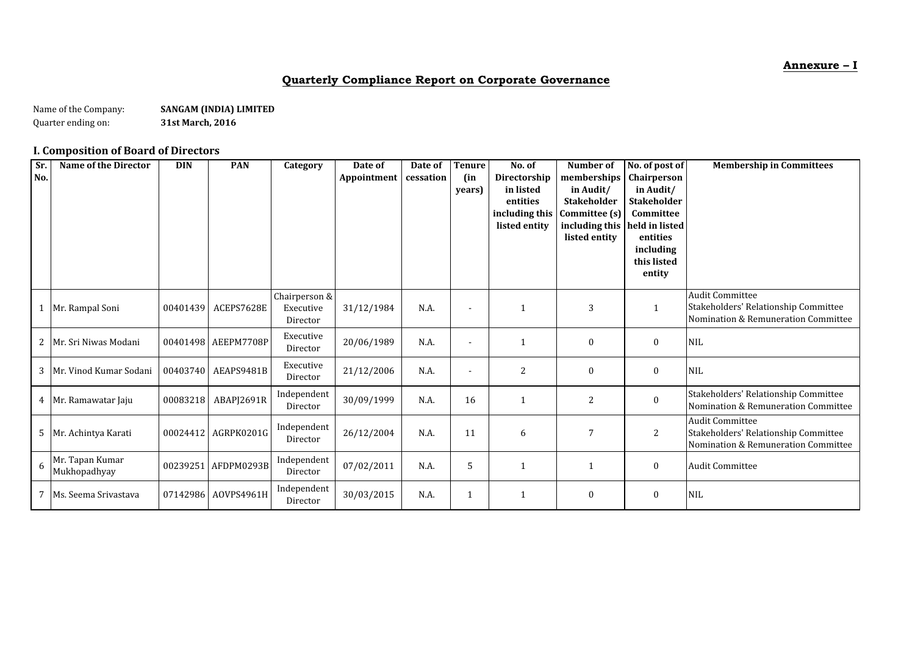**Annexure – I**

### **Quarterly Compliance Report on Corporate Governance**

Name of the Company: **SANGAM (INDIA) LIMITED**<br>Quarter ending on: **S1st March, 2016** Quarter ending on: **31st March, 2016**

### **I. Composition of Board of Directors**

| Sr.<br>No. | <b>Name of the Director</b>     | <b>DIN</b> | <b>PAN</b>          | Category                               | Date of<br>Appointment | Date of<br>cessation | <b>Tenure</b><br>(in<br>years) | No. of<br>Directorship<br>in listed<br>entities<br>including this<br>listed entity | Number of<br>memberships<br>in Audit/<br>Stakeholder<br>Committee (s)<br>including this<br>listed entity | No. of post of<br>Chairperson<br>in Audit/<br><b>Stakeholder</b><br>Committee<br>held in listed<br>entities | <b>Membership in Committees</b>                                                                       |
|------------|---------------------------------|------------|---------------------|----------------------------------------|------------------------|----------------------|--------------------------------|------------------------------------------------------------------------------------|----------------------------------------------------------------------------------------------------------|-------------------------------------------------------------------------------------------------------------|-------------------------------------------------------------------------------------------------------|
|            |                                 |            |                     |                                        |                        |                      |                                |                                                                                    |                                                                                                          | including<br>this listed<br>entity                                                                          |                                                                                                       |
|            | Mr. Rampal Soni                 | 00401439   | ACEPS7628E          | Chairperson &<br>Executive<br>Director | 31/12/1984             | N.A.                 | $\blacksquare$                 | 1                                                                                  | 3                                                                                                        | $\mathbf{1}$                                                                                                | <b>Audit Committee</b><br>Stakeholders' Relationship Committee<br>Nomination & Remuneration Committee |
| 2          | Mr. Sri Niwas Modani            |            | 00401498 AEEPM7708P | Executive<br>Director                  | 20/06/1989             | N.A.                 | ۰                              | $\mathbf 1$                                                                        | 0                                                                                                        | $\bf{0}$                                                                                                    | <b>NIL</b>                                                                                            |
| 3          | Mr. Vinod Kumar Sodani          |            | 00403740 AEAPS9481B | Executive<br>Director                  | 21/12/2006             | N.A.                 | $\overline{a}$                 | $\overline{2}$                                                                     | $\mathbf{0}$                                                                                             | $\bf{0}$                                                                                                    | <b>NIL</b>                                                                                            |
|            | 4 Mr. Ramawatar Jaju            | 00083218   | ABAPI2691R          | Independent<br>Director                | 30/09/1999             | N.A.                 | 16                             | $\mathbf 1$                                                                        | 2                                                                                                        | $\mathbf{0}$                                                                                                | Stakeholders' Relationship Committee<br>Nomination & Remuneration Committee                           |
| 5          | Mr. Achintya Karati             |            | 00024412 AGRPK0201G | Independent<br>Director                | 26/12/2004             | N.A.                 | 11                             | 6                                                                                  | 7                                                                                                        | 2                                                                                                           | <b>Audit Committee</b><br>Stakeholders' Relationship Committee<br>Nomination & Remuneration Committee |
| 6          | Mr. Tapan Kumar<br>Mukhopadhyay |            | 00239251 AFDPM0293B | Independent<br>Director                | 07/02/2011             | N.A.                 | 5                              | 1                                                                                  |                                                                                                          | $\bf{0}$                                                                                                    | <b>Audit Committee</b>                                                                                |
|            | 7 Ms. Seema Srivastava          |            | 07142986 AOVPS4961H | Independent<br>Director                | 30/03/2015             | N.A.                 |                                | $\mathbf 1$                                                                        | 0                                                                                                        | $\bf{0}$                                                                                                    | <b>NIL</b>                                                                                            |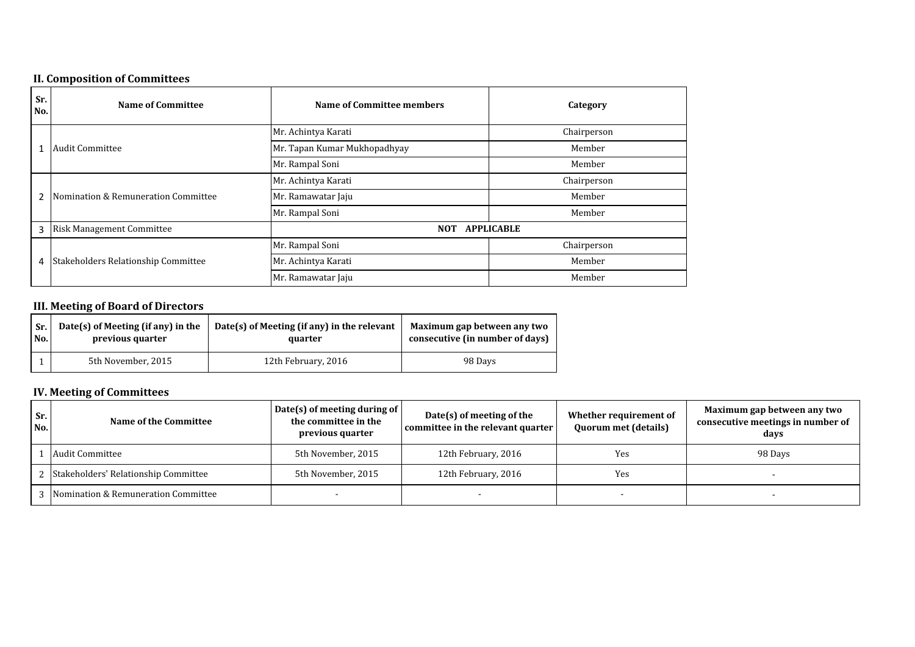### **II. Composition of Committees**

| Sr.<br>No. | <b>Name of Committee</b>            | <b>Name of Committee members</b> | Category          |  |
|------------|-------------------------------------|----------------------------------|-------------------|--|
|            |                                     | Mr. Achintya Karati              | Chairperson       |  |
|            | <b>Audit Committee</b>              | Mr. Tapan Kumar Mukhopadhyay     | Member            |  |
|            |                                     | Mr. Rampal Soni                  | Member            |  |
| 2          |                                     | Mr. Achintya Karati              | Chairperson       |  |
|            | Nomination & Remuneration Committee | Mr. Ramawatar Jaju               | Member            |  |
|            |                                     | Mr. Rampal Soni                  | Member            |  |
| 3          | <b>Risk Management Committee</b>    | <b>NOT</b>                       | <b>APPLICABLE</b> |  |
| 4          |                                     | Mr. Rampal Soni                  | Chairperson       |  |
|            | Stakeholders Relationship Committee | Mr. Achintya Karati              | Member            |  |
|            |                                     | Mr. Ramawatar Jaju               | Member            |  |

### **III. Meeting of Board of Directors**

| Sr. | Date(s) of Meeting (if any) in the | Date(s) of Meeting (if any) in the relevant | Maximum gap between any two     |  |
|-----|------------------------------------|---------------------------------------------|---------------------------------|--|
| No. | previous quarter                   | quarter                                     | consecutive (in number of days) |  |
|     | 5th November, 2015                 | 12th February, 2016                         | 98 Days                         |  |

### **IV. Meeting of Committees**

| Sr.<br>No. | Name of the Committee                  | Date(s) of meeting during of<br>the committee in the<br>previous quarter | $Date(s)$ of meeting of the<br>committee in the relevant quarter | Whether requirement of<br><b>Quorum met (details)</b> | Maximum gap between any two<br>consecutive meetings in number of<br>days |
|------------|----------------------------------------|--------------------------------------------------------------------------|------------------------------------------------------------------|-------------------------------------------------------|--------------------------------------------------------------------------|
|            | Audit Committee                        | 5th November, 2015                                                       | 12th February, 2016                                              | Yes                                                   | 98 Days                                                                  |
|            | 2 Stakeholders' Relationship Committee | 5th November, 2015                                                       | 12th February, 2016                                              | Yes                                                   |                                                                          |
|            | 3 Nomination & Remuneration Committee  |                                                                          |                                                                  |                                                       |                                                                          |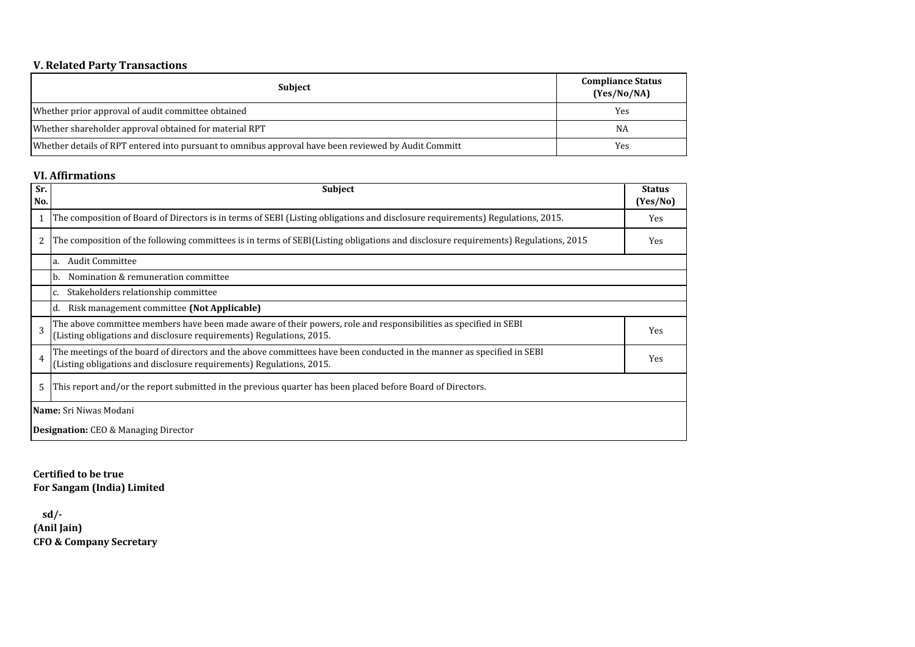### **V. Related Party Transactions**

| <b>Subject</b>                                                                                       | <b>Compliance Status</b><br>(Yes/No/NA) |
|------------------------------------------------------------------------------------------------------|-----------------------------------------|
| Whether prior approval of audit committee obtained                                                   | Yes                                     |
| Whether shareholder approval obtained for material RPT                                               | <b>NA</b>                               |
| Whether details of RPT entered into pursuant to omnibus approval have been reviewed by Audit Committ | Yes                                     |

#### **VI. Affirmations**

| Sr.<br>No.                                  | <b>Subject</b>                                                                                                                                                                                 | <b>Status</b><br>(Yes/No) |  |  |  |
|---------------------------------------------|------------------------------------------------------------------------------------------------------------------------------------------------------------------------------------------------|---------------------------|--|--|--|
|                                             | The composition of Board of Directors is in terms of SEBI (Listing obligations and disclosure requirements) Regulations, 2015.                                                                 | Yes                       |  |  |  |
| 2                                           | The composition of the following committees is in terms of SEBI(Listing obligations and disclosure requirements) Regulations, 2015                                                             | Yes                       |  |  |  |
|                                             | <b>Audit Committee</b><br>la.                                                                                                                                                                  |                           |  |  |  |
|                                             | Nomination & remuneration committee<br>Ib.                                                                                                                                                     |                           |  |  |  |
|                                             | Stakeholders relationship committee<br>C.                                                                                                                                                      |                           |  |  |  |
|                                             | Risk management committee (Not Applicable)<br>Id.                                                                                                                                              |                           |  |  |  |
| 3                                           | The above committee members have been made aware of their powers, role and responsibilities as specified in SEBI<br>(Listing obligations and disclosure requirements) Regulations, 2015.       | Yes                       |  |  |  |
| 4                                           | The meetings of the board of directors and the above committees have been conducted in the manner as specified in SEBI<br>(Listing obligations and disclosure requirements) Regulations, 2015. | Yes                       |  |  |  |
| 5                                           | This report and/or the report submitted in the previous quarter has been placed before Board of Directors.                                                                                     |                           |  |  |  |
| <b>Name:</b> Sri Niwas Modani               |                                                                                                                                                                                                |                           |  |  |  |
| <b>Designation:</b> CEO & Managing Director |                                                                                                                                                                                                |                           |  |  |  |

**Certified to be true For Sangam (India) Limited**

**CFO & Company Secretary sd/- (Anil Jain)**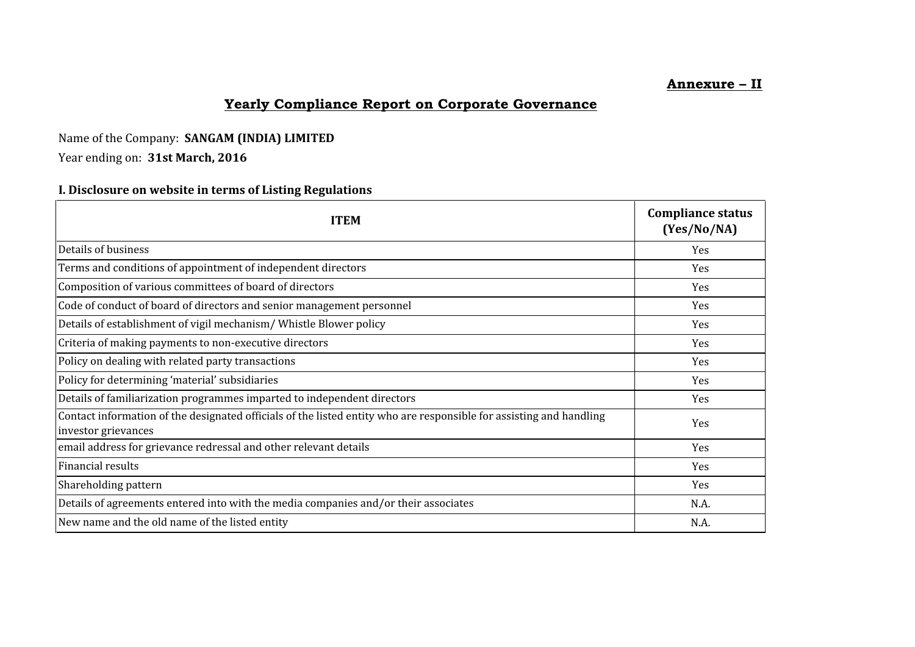# **Annexure – II**

# **Yearly Compliance Report on Corporate Governance**

## Name of the Company: **SANGAM (INDIA) LIMITED**

## Year ending on: **31st March, 2016**

## **I. Disclosure on website in terms of Listing Regulations**

| <b>ITEM</b>                                                                                                                                | <b>Compliance status</b><br>(Yes/No/NA) |
|--------------------------------------------------------------------------------------------------------------------------------------------|-----------------------------------------|
| Details of business                                                                                                                        | Yes                                     |
| Terms and conditions of appointment of independent directors                                                                               | Yes                                     |
| Composition of various committees of board of directors                                                                                    | Yes                                     |
| Code of conduct of board of directors and senior management personnel                                                                      | Yes                                     |
| Details of establishment of vigil mechanism/ Whistle Blower policy                                                                         | Yes                                     |
| Criteria of making payments to non-executive directors                                                                                     | Yes                                     |
| Policy on dealing with related party transactions                                                                                          | Yes                                     |
| Policy for determining 'material' subsidiaries                                                                                             | Yes                                     |
| Details of familiarization programmes imparted to independent directors                                                                    | Yes                                     |
| Contact information of the designated officials of the listed entity who are responsible for assisting and handling<br>investor grievances | Yes                                     |
| email address for grievance redressal and other relevant details                                                                           | Yes                                     |
| Financial results                                                                                                                          | Yes                                     |
| Shareholding pattern                                                                                                                       | Yes                                     |
| Details of agreements entered into with the media companies and/or their associates                                                        | N.A.                                    |
| New name and the old name of the listed entity                                                                                             | N.A.                                    |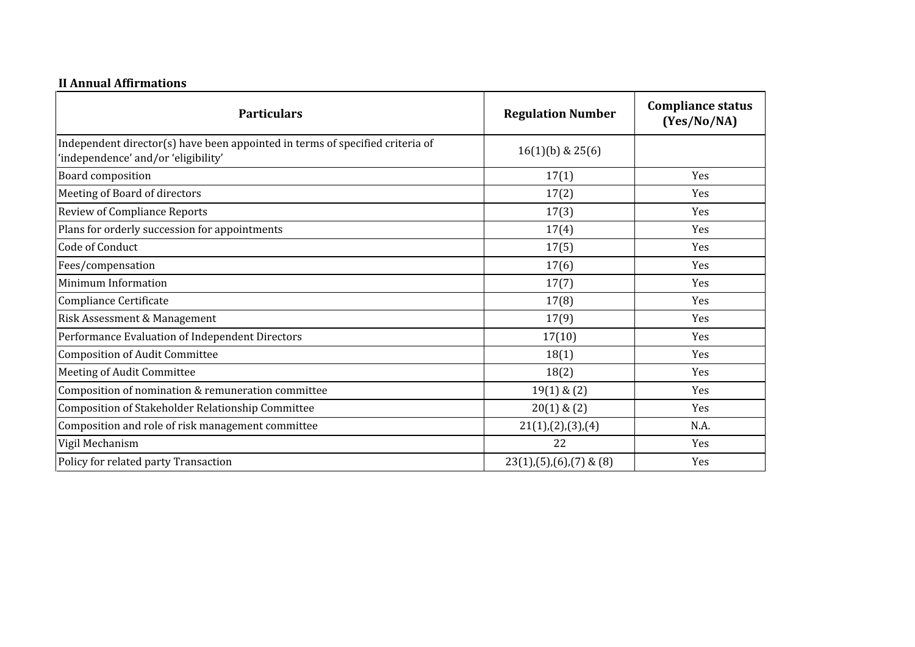# **II Annual Affirmations**

| <b>Particulars</b>                                                                                                   | <b>Regulation Number</b>    | <b>Compliance status</b><br>(Yes/No/NA) |
|----------------------------------------------------------------------------------------------------------------------|-----------------------------|-----------------------------------------|
| Independent director(s) have been appointed in terms of specified criteria of<br>'independence' and/or 'eligibility' | $16(1)(b)$ & $25(6)$        |                                         |
| Board composition                                                                                                    | 17(1)                       | Yes                                     |
| Meeting of Board of directors                                                                                        | 17(2)                       | Yes                                     |
| <b>Review of Compliance Reports</b>                                                                                  | 17(3)                       | Yes                                     |
| Plans for orderly succession for appointments                                                                        | 17(4)                       | Yes                                     |
| Code of Conduct                                                                                                      | 17(5)                       | Yes                                     |
| Fees/compensation                                                                                                    | 17(6)                       | Yes                                     |
| Minimum Information                                                                                                  | 17(7)                       | Yes                                     |
| Compliance Certificate                                                                                               | 17(8)                       | Yes                                     |
| Risk Assessment & Management                                                                                         | 17(9)                       | Yes                                     |
| Performance Evaluation of Independent Directors                                                                      | 17(10)                      | Yes                                     |
| Composition of Audit Committee                                                                                       | 18(1)                       | Yes                                     |
| Meeting of Audit Committee                                                                                           | 18(2)                       | Yes                                     |
| Composition of nomination & remuneration committee                                                                   | $19(1)$ & $(2)$             | Yes                                     |
| Composition of Stakeholder Relationship Committee                                                                    | $20(1)$ & $(2)$             | Yes                                     |
| Composition and role of risk management committee                                                                    | 21(1),(2),(3),(4)           | N.A.                                    |
| Vigil Mechanism                                                                                                      | 22                          | Yes                                     |
| Policy for related party Transaction                                                                                 | $23(1),(5),(6),(7)$ & $(8)$ | Yes                                     |